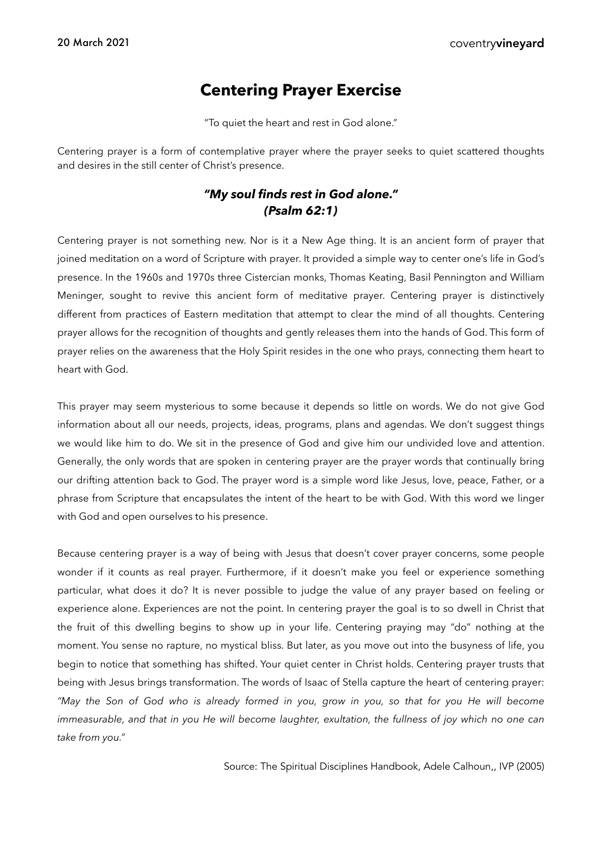## **Centering Prayer Exercise**

"To quiet the heart and rest in God alone."

Centering prayer is a form of contemplative prayer where the prayer seeks to quiet scattered thoughts and desires in the still center of Christ's presence.

## *"My soul finds rest in God alone." (Psalm 62:1)*

Centering prayer is not something new. Nor is it a New Age thing. It is an ancient form of prayer that joined meditation on a word of Scripture with prayer. It provided a simple way to center one's life in God's presence. In the 1960s and 1970s three Cistercian monks, Thomas Keating, Basil Pennington and William Meninger, sought to revive this ancient form of meditative prayer. Centering prayer is distinctively different from practices of Eastern meditation that attempt to clear the mind of all thoughts. Centering prayer allows for the recognition of thoughts and gently releases them into the hands of God. This form of prayer relies on the awareness that the Holy Spirit resides in the one who prays, connecting them heart to heart with God.

This prayer may seem mysterious to some because it depends so little on words. We do not give God information about all our needs, projects, ideas, programs, plans and agendas. We don't suggest things we would like him to do. We sit in the presence of God and give him our undivided love and attention. Generally, the only words that are spoken in centering prayer are the prayer words that continually bring our drifting attention back to God. The prayer word is a simple word like Jesus, love, peace, Father, or a phrase from Scripture that encapsulates the intent of the heart to be with God. With this word we linger with God and open ourselves to his presence.

Because centering prayer is a way of being with Jesus that doesn't cover prayer concerns, some people wonder if it counts as real prayer. Furthermore, if it doesn't make you feel or experience something particular, what does it do? It is never possible to judge the value of any prayer based on feeling or experience alone. Experiences are not the point. In centering prayer the goal is to so dwell in Christ that the fruit of this dwelling begins to show up in your life. Centering praying may "do" nothing at the moment. You sense no rapture, no mystical bliss. But later, as you move out into the busyness of life, you begin to notice that something has shifted. Your quiet center in Christ holds. Centering prayer trusts that being with Jesus brings transformation. The words of Isaac of Stella capture the heart of centering prayer: *"May the Son of God who is already formed in you, grow in you, so that for you He will become immeasurable, and that in you He will become laughter, exultation, the fullness of joy which no one can take from you."*

Source: The Spiritual Disciplines Handbook, Adele Calhoun,, IVP (2005)